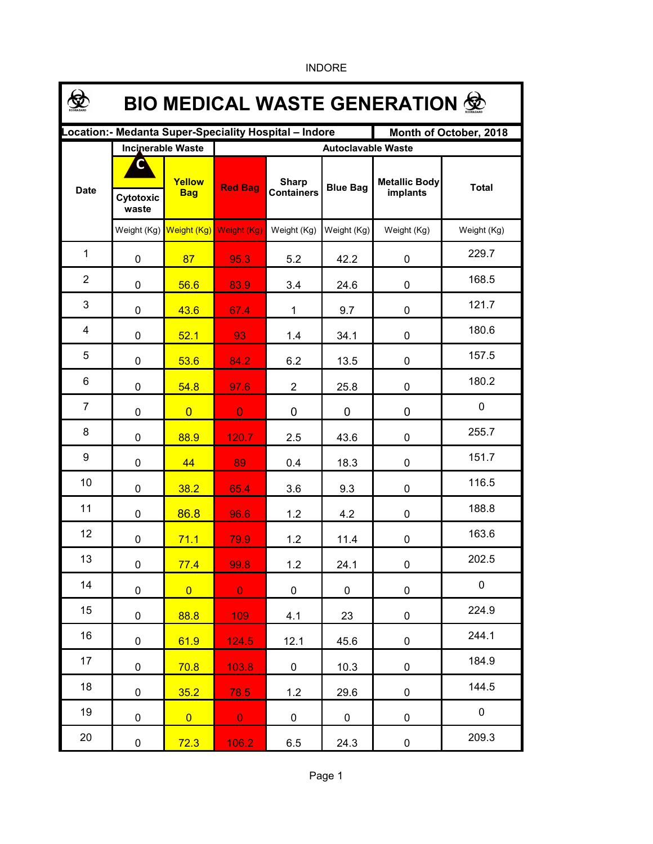| <b>BIO MEDICAL WASTE GENERATION 堂</b>                                           |                          |                      |                           |                                   |                 |                                  |              |  |  |  |  |
|---------------------------------------------------------------------------------|--------------------------|----------------------|---------------------------|-----------------------------------|-----------------|----------------------------------|--------------|--|--|--|--|
| Location:- Medanta Super-Speciality Hospital - Indore<br>Month of October, 2018 |                          |                      |                           |                                   |                 |                                  |              |  |  |  |  |
|                                                                                 | <b>Incinerable Waste</b> |                      | <b>Autoclavable Waste</b> |                                   |                 |                                  |              |  |  |  |  |
| <b>Date</b>                                                                     | C<br>Cytotoxic<br>waste  | Yellow<br><b>Bag</b> | <b>Red Bag</b>            | <b>Sharp</b><br><b>Containers</b> | <b>Blue Bag</b> | <b>Metallic Body</b><br>implants | <b>Total</b> |  |  |  |  |
|                                                                                 | Weight (Kg)              | Weight (Kg)          | Weight (Kg)               | Weight (Kg)                       | Weight (Kg)     | Weight (Kg)                      | Weight (Kg)  |  |  |  |  |
| $\mathbf{1}$                                                                    | 0                        | 87                   | 95.3                      | 5.2                               | 42.2            | 0                                | 229.7        |  |  |  |  |
| $\overline{2}$                                                                  | 0                        | 56.6                 | 83.9                      | 3.4                               | 24.6            | 0                                | 168.5        |  |  |  |  |
| 3                                                                               | 0                        | 43.6                 | 67.4                      | 1                                 | 9.7             | 0                                | 121.7        |  |  |  |  |
| 4                                                                               | 0                        | 52.1                 | 93                        | 1.4                               | 34.1            | 0                                | 180.6        |  |  |  |  |
| 5                                                                               | 0                        | 53.6                 | 84.2                      | 6.2                               | 13.5            | 0                                | 157.5        |  |  |  |  |
| 6                                                                               | 0                        | 54.8                 | 97.6                      | $\overline{2}$                    | 25.8            | 0                                | 180.2        |  |  |  |  |
| $\overline{7}$                                                                  | 0                        | $\overline{0}$       | $\overline{0}$            | 0                                 | 0               | 0                                | 0            |  |  |  |  |
| 8                                                                               | 0                        | 88.9                 | 120.7                     | 2.5                               | 43.6            | 0                                | 255.7        |  |  |  |  |
| 9                                                                               | 0                        | 44                   | 89                        | 0.4                               | 18.3            | 0                                | 151.7        |  |  |  |  |
| 10                                                                              | 0                        | 38.2                 | 65.4                      | 3.6                               | 9.3             | 0                                | 116.5        |  |  |  |  |
| 11                                                                              | 0                        | 86.8                 | 96.6                      | 1.2                               | 4.2             | 0                                | 188.8        |  |  |  |  |
| 12                                                                              | 0                        | 71.1                 | 79.9                      | 1.2                               | 11.4            | 0                                | 163.6        |  |  |  |  |
| 13                                                                              | $\pmb{0}$                | 77.4                 | 99.8                      | 1.2                               | 24.1            | 0                                | 202.5        |  |  |  |  |
| 14                                                                              | 0                        | $\overline{0}$       | $\mathbf{0}$              | $\mathbf 0$                       | 0               | 0                                | $\mathbf 0$  |  |  |  |  |
| 15                                                                              | 0                        | 88.8                 | 109                       | 4.1                               | 23              | 0                                | 224.9        |  |  |  |  |
| 16                                                                              | $\mathbf 0$              | 61.9                 | 124.5                     | 12.1                              | 45.6            | 0                                | 244.1        |  |  |  |  |
| 17                                                                              | $\mathbf 0$              | 70.8                 | 103.8                     | $\mathbf 0$                       | 10.3            | 0                                | 184.9        |  |  |  |  |
| 18                                                                              | $\mathbf 0$              | 35.2                 | 78.5                      | 1.2                               | 29.6            | 0                                | 144.5        |  |  |  |  |
| 19                                                                              | $\mathbf 0$              | $\overline{0}$       | $\mathbf{0}$              | 0                                 | 0               | 0                                | $\mathbf 0$  |  |  |  |  |
| 20                                                                              | 0                        | 72.3                 | 106.2                     | 6.5                               | 24.3            | 0                                | 209.3        |  |  |  |  |

INDORE